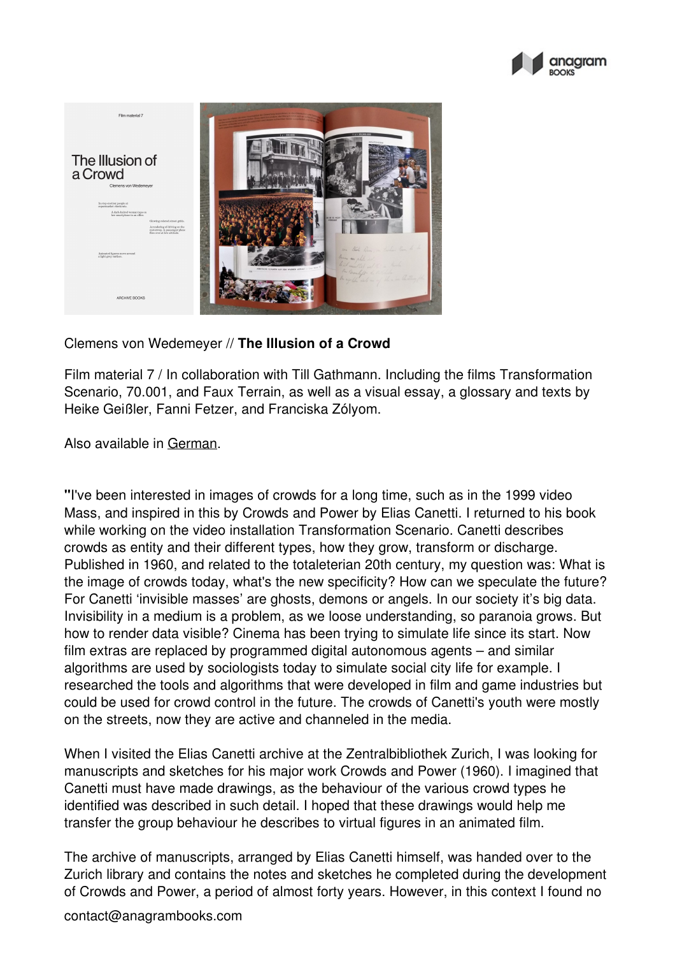



Clemens von Wedemeyer // **The Illusion of a Crowd**

Film material 7 / In collaboration with Till Gathmann. Including the films Transformation Scenario, 70.001, and Faux Terrain, as well as a visual essay, a glossary and texts by Heike Geißler, Fanni Fetzer, and Franciska Zólyom.

Also available in [German](http://anagrambooks.com/illusion-einer-menschenmenge).

**"**I've been interested in images of crowds for a long time, such as in the 1999 video Mass, and inspired in this by Crowds and Power by Elias Canetti. I returned to his book while working on the video installation Transformation Scenario. Canetti describes crowds as entity and their different types, how they grow, transform or discharge. Published in 1960, and related to the totaleterian 20th century, my question was: What is the image of crowds today, what's the new specificity? How can we speculate the future? For Canetti 'invisible masses' are ghosts, demons or angels. In our society it's big data. Invisibility in a medium is a problem, as we loose understanding, so paranoia grows. But how to render data visible? Cinema has been trying to simulate life since its start. Now film extras are replaced by programmed digital autonomous agents – and similar algorithms are used by sociologists today to simulate social city life for example. I researched the tools and algorithms that were developed in film and game industries but could be used for crowd control in the future. The crowds of Canetti's youth were mostly on the streets, now they are active and channeled in the media.

When I visited the Elias Canetti archive at the Zentralbibliothek Zurich, I was looking for manuscripts and sketches for his major work Crowds and Power (1960). I imagined that Canetti must have made drawings, as the behaviour of the various crowd types he identified was described in such detail. I hoped that these drawings would help me transfer the group behaviour he describes to virtual figures in an animated film.

The archive of manuscripts, arranged by Elias Canetti himself, was handed over to the Zurich library and contains the notes and sketches he completed during the development of Crowds and Power, a period of almost forty years. However, in this context I found no